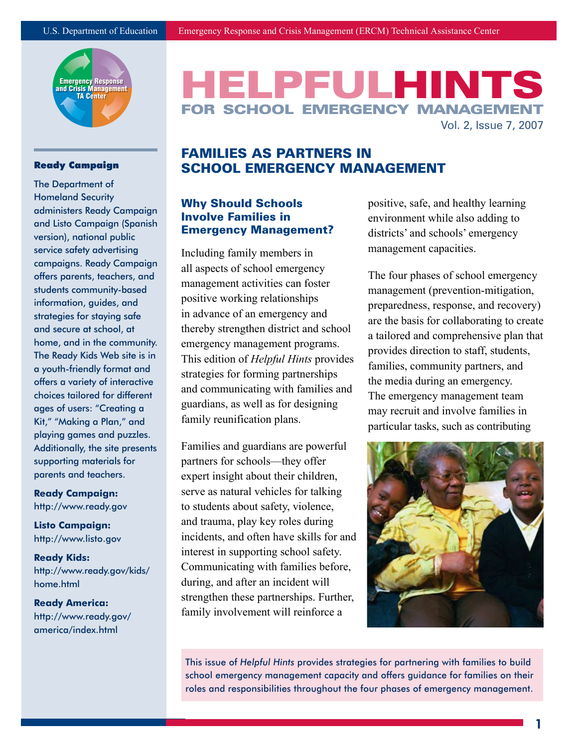

#### Ready Campaign

The Department of Homeland Security administers Ready Campaign and Listo Campaign (Spanish version), national public service safety advertising campaigns. Ready Campaign offers parents, teachers, and students community-based information, guides, and strategies for staying safe and secure at school, at home, and in the community. The Ready Kids Web site is in a youth-friendly format and offers a variety of interactive choices tailored for different ages of users: "Creating a Kit," "Making a Plan," and playing games and puzzles. Additionally, the site presents supporting materials for parents and teachers.

#### **Ready Campaign:** http://www.ready.gov

**Listo Campaign:** http://www.listo.gov

**Ready Kids:** http://www.ready.gov/kids/ home.html

**Ready America:** http://www.ready.gov/ america/index.html

# **HELPFULHINTS** FOR SCHOOL EMERGENCY MANAGEM Vol. 2, Issue 7, 2007

## Families as Partners in School Emergency Management

#### Why Should Schools Involve Families in Emergency Management?

Including family members in all aspects of school emergency management activities can foster positive working relationships in advance of an emergency and thereby strengthen district and school emergency management programs. This edition of *Helpful Hints* provides strategies for forming partnerships and communicating with families and guardians, as well as for designing family reunification plans.

Families and guardians are powerful partners for schools—they offer expert insight about their children, serve as natural vehicles for talking to students about safety, violence, and trauma, play key roles during incidents, and often have skills for and interest in supporting school safety. Communicating with families before, during, and after an incident will strengthen these partnerships. Further, family involvement will reinforce a

positive, safe, and healthy learning environment while also adding to districts' and schools' emergency management capacities.

The four phases of school emergency management (prevention-mitigation, preparedness, response, and recovery) are the basis for collaborating to create a tailored and comprehensive plan that provides direction to staff, students, families, community partners, and the media during an emergency. The emergency management team may recruit and involve families in particular tasks, such as contributing



This issue of *Helpful Hints* provides strategies for partnering with families to build school emergency management capacity and offers guidance for families on their roles and responsibilities throughout the four phases of emergency management.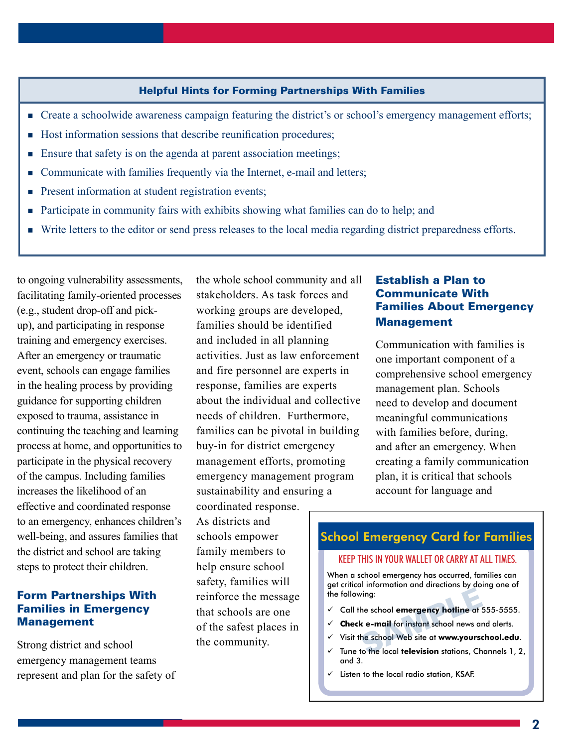#### Helpful Hints for Forming Partnerships With Families

- Create a schoolwide awareness campaign featuring the district's or school's emergency management efforts;
- Host information sessions that describe reunification procedures;
- Ensure that safety is on the agenda at parent association meetings;
- Communicate with families frequently via the Internet, e-mail and letters;
- **Present information at student registration events;**
- **Participate in community fairs with exhibits showing what families can do to help; and**
- Write letters to the editor or send press releases to the local media regarding district preparedness efforts.

to ongoing vulnerability assessments, facilitating family-oriented processes (e.g., student drop-off and pickup), and participating in response training and emergency exercises. After an emergency or traumatic event, schools can engage families in the healing process by providing guidance for supporting children exposed to trauma, assistance in continuing the teaching and learning process at home, and opportunities to participate in the physical recovery of the campus. Including families increases the likelihood of an effective and coordinated response to an emergency, enhances children's well-being, and assures families that the district and school are taking steps to protect their children.

#### Form Partnerships With Families in Emergency **Management**

Strong district and school emergency management teams represent and plan for the safety of the whole school community and all stakeholders. As task forces and working groups are developed, families should be identified and included in all planning activities. Just as law enforcement and fire personnel are experts in response, families are experts about the individual and collective needs of children. Furthermore, families can be pivotal in building buy-in for district emergency management efforts, promoting emergency management program sustainability and ensuring a

coordinated response. As districts and schools empower family members to help ensure school safety, families will reinforce the message that schools are one of the safest places in the community.

#### Establish a Plan to Communicate With Families About Emergency Management

Communication with families is one important component of a comprehensive school emergency management plan. Schools need to develop and document meaningful communications with families before, during, and after an emergency. When creating a family communication plan, it is critical that schools account for language and

## School Emergency Card for Families

#### KEEP THIS IN YOUR WALLET OR CARRY AT ALL TIMES.

When a school emergency has occurred, families can get critical information and directions by doing one of the following: wing:<br>he school emergency hotline at :<br>k e-mail for instant school news an<br>he school Web site at www.yourse<br>to the local television stations, Ch

- 9 Call the school **emergency hotline** at 555-5555.
- $\checkmark$  **Check e-mail** for instant school news and alerts.
- 9 Visit the school Web site at **www.yourschool.edu**.
- 9 Tune to the local **television** stations, Channels 1, 2, and 3.
- $\checkmark$  Listen to the local radio station, KSAF.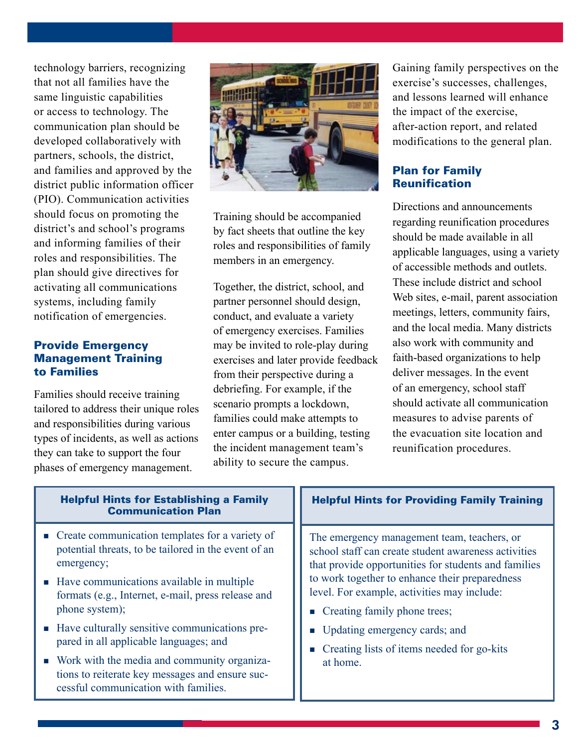technology barriers, recognizing that not all families have the same linguistic capabilities or access to technology. The communication plan should be developed collaboratively with partners, schools, the district, and families and approved by the district public information officer (PIO). Communication activities should focus on promoting the district's and school's programs and informing families of their roles and responsibilities. The plan should give directives for activating all communications systems, including family notification of emergencies.

#### Provide Emergency Management Training to Families

Families should receive training tailored to address their unique roles and responsibilities during various types of incidents, as well as actions they can take to support the four phases of emergency management.



Training should be accompanied by fact sheets that outline the key roles and responsibilities of family members in an emergency.

Together, the district, school, and partner personnel should design, conduct, and evaluate a variety of emergency exercises. Families may be invited to role-play during exercises and later provide feedback from their perspective during a debriefing. For example, if the scenario prompts a lockdown, families could make attempts to enter campus or a building, testing the incident management team's ability to secure the campus.

Gaining family perspectives on the exercise's successes, challenges, and lessons learned will enhance the impact of the exercise, after-action report, and related modifications to the general plan.

#### Plan for Family **Reunification**

Directions and announcements regarding reunification procedures should be made available in all applicable languages, using a variety of accessible methods and outlets. These include district and school Web sites, e-mail, parent association meetings, letters, community fairs, and the local media. Many districts also work with community and faith-based organizations to help deliver messages. In the event of an emergency, school staff should activate all communication measures to advise parents of the evacuation site location and reunification procedures.

| <b>Helpful Hints for Establishing a Family</b><br><b>Communication Plan</b>                                                             | <b>Helpful Hints for Providing Family Training</b>                                                                                                                                                                                                                                                                                                                                          |
|-----------------------------------------------------------------------------------------------------------------------------------------|---------------------------------------------------------------------------------------------------------------------------------------------------------------------------------------------------------------------------------------------------------------------------------------------------------------------------------------------------------------------------------------------|
| $\blacksquare$ Create communication templates for a variety of<br>potential threats, to be tailored in the event of an<br>emergency;    | The emergency management team, teachers, or<br>school staff can create student awareness activities<br>that provide opportunities for students and families<br>to work together to enhance their preparedness<br>level. For example, activities may include:<br>• Creating family phone trees;<br>• Updating emergency cards; and<br>Creating lists of items needed for go-kits<br>at home. |
| • Have communications available in multiple<br>formats (e.g., Internet, e-mail, press release and<br>phone system);                     |                                                                                                                                                                                                                                                                                                                                                                                             |
| • Have culturally sensitive communications pre-<br>pared in all applicable languages; and                                               |                                                                                                                                                                                                                                                                                                                                                                                             |
| • Work with the media and community organiza-<br>tions to reiterate key messages and ensure suc-<br>cessful communication with families |                                                                                                                                                                                                                                                                                                                                                                                             |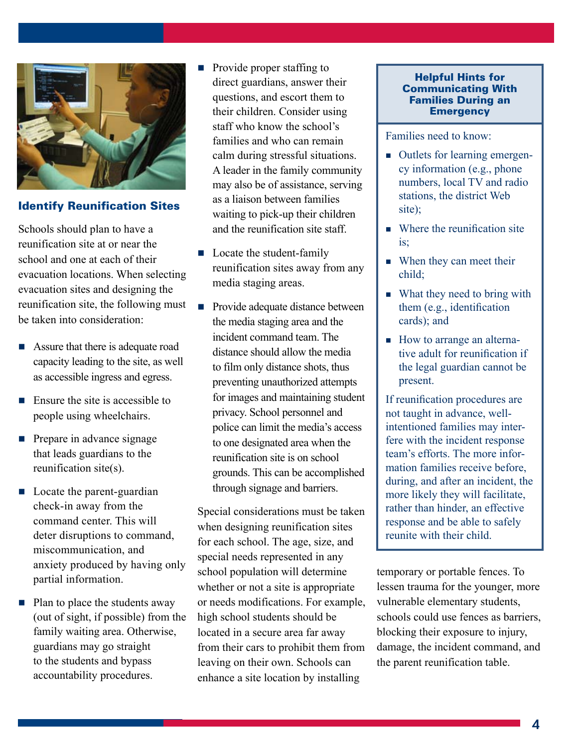

#### Identify Reunification Sites

Schools should plan to have a reunification site at or near the school and one at each of their evacuation locations. When selecting evacuation sites and designing the reunification site, the following must be taken into consideration:

- Assure that there is adequate road capacity leading to the site, as well as accessible ingress and egress.
- $\blacksquare$  Ensure the site is accessible to people using wheelchairs.
- $\blacksquare$  Prepare in advance signage that leads guardians to the reunification site(s).
- Locate the parent-guardian check-in away from the command center. This will deter disruptions to command, miscommunication, and anxiety produced by having only partial information.
- $\blacksquare$  Plan to place the students away (out of sight, if possible) from the family waiting area. Otherwise, guardians may go straight to the students and bypass accountability procedures.
- Provide proper staffing to direct guardians, answer their questions, and escort them to their children. Consider using staff who know the school's families and who can remain calm during stressful situations. A leader in the family community may also be of assistance, serving as a liaison between families waiting to pick-up their children and the reunification site staff.
- $\blacksquare$  Locate the student-family reunification sites away from any media staging areas.
- **Provide adequate distance between** the media staging area and the incident command team. The distance should allow the media to film only distance shots, thus preventing unauthorized attempts for images and maintaining student privacy. School personnel and police can limit the media's access to one designated area when the reunification site is on school grounds. This can be accomplished through signage and barriers.

Special considerations must be taken when designing reunification sites for each school. The age, size, and special needs represented in any school population will determine whether or not a site is appropriate or needs modifications. For example, high school students should be located in a secure area far away from their cars to prohibit them from leaving on their own. Schools can enhance a site location by installing

#### Helpful Hints for Communicating With Families During an **Emergency**

Families need to know:

- Outlets for learning emergency information (e.g., phone numbers, local TV and radio stations, the district Web site);
- Where the reunification site  $i$ s;
- When they can meet their child;
- What they need to bring with them (e.g., identification cards); and
- How to arrange an alternative adult for reunification if the legal guardian cannot be present.

If reunification procedures are not taught in advance, wellintentioned families may interfere with the incident response team's efforts. The more information families receive before, during, and after an incident, the more likely they will facilitate, rather than hinder, an effective response and be able to safely reunite with their child.

temporary or portable fences. To lessen trauma for the younger, more vulnerable elementary students, schools could use fences as barriers, blocking their exposure to injury, damage, the incident command, and the parent reunification table.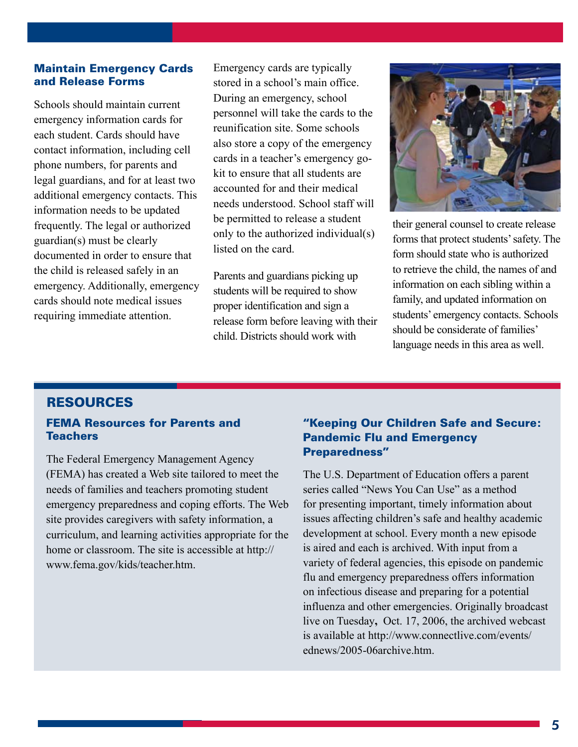#### Maintain Emergency Cards and Release Forms

Schools should maintain current emergency information cards for each student. Cards should have contact information, including cell phone numbers, for parents and legal guardians, and for at least two additional emergency contacts. This information needs to be updated frequently. The legal or authorized guardian(s) must be clearly documented in order to ensure that the child is released safely in an emergency. Additionally, emergency cards should note medical issues requiring immediate attention.

Emergency cards are typically stored in a school's main office. During an emergency, school personnel will take the cards to the reunification site. Some schools also store a copy of the emergency cards in a teacher's emergency gokit to ensure that all students are accounted for and their medical needs understood. School staff will be permitted to release a student only to the authorized individual(s) listed on the card.

Parents and guardians picking up students will be required to show proper identification and sign a release form before leaving with their child. Districts should work with



their general counsel to create release forms that protect students' safety. The form should state who is authorized to retrieve the child, the names of and information on each sibling within a family, and updated information on students' emergency contacts. Schools should be considerate of families' language needs in this area as well.

#### Resources

#### FEMA Resources for Parents and **Teachers**

The Federal Emergency Management Agency (FEMA) has created a Web site tailored to meet the needs of families and teachers promoting student emergency preparedness and coping efforts. The Web site provides caregivers with safety information, a curriculum, and learning activities appropriate for the home or classroom. The site is accessible at http:// www.fema.gov/kids/teacher.htm.

### "Keeping Our Children Safe and Secure: Pandemic Flu and Emergency Preparedness"

The U.S. Department of Education offers a parent series called "News You Can Use" as a method for presenting important, timely information about issues affecting children's safe and healthy academic development at school. Every month a new episode is aired and each is archived. With input from a variety of federal agencies, this episode on pandemic flu and emergency preparedness offers information on infectious disease and preparing for a potential influenza and other emergencies. Originally broadcast live on Tuesday**,** Oct. 17, 2006, the archived webcast is available at http://www.connectlive.com/events/ ednews/2005-06archive.htm.